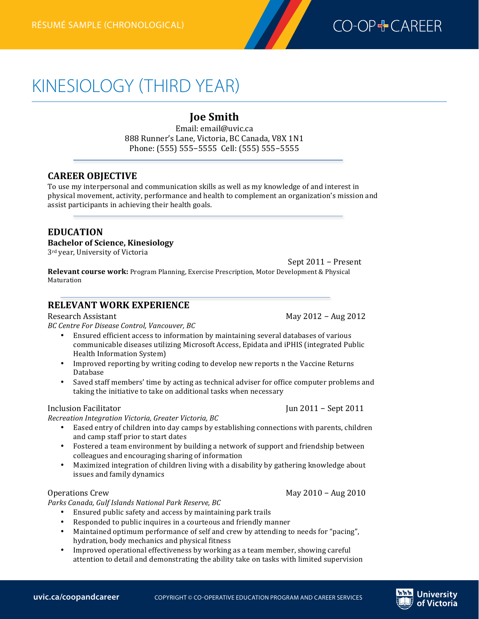

# KINESIOLOGY (THIRD YEAR)

# **Joe 
 Smith**

Email: email@uvic.ca 888 Runner's Lane, Victoria, BC Canada, V8X 1N1 Phone: (555) 555-5555 Cell: (555) 555-5555

# **CAREER 
 OBJECTIVE**

**Kinesiologyrésumé (third year)—chronological**

To use my interpersonal and communication skills as well as my knowledge of and interest in physical movement, activity, performance and health to complement an organization's mission and assist participants in achieving their health goals.

# **EDUCATION**

#### **Bachelor of Science, Kinesiology**

3<sup>rd</sup> year, University of Victoria

Sept 2011 − Present

**Relevant course work:** Program Planning, Exercise Prescription, Motor Development & Physical Maturation 

## **RELEVANT WORK EXPERIENCE**

Research 
 Assistant 

 May 
 2012 − 
 Aug 
 2012

BC Centre For Disease Control, Vancouver, BC

- Ensured efficient access to information by maintaining several databases of various communicable diseases utilizing Microsoft Access, Epidata and iPHIS (integrated Public Health Information System)
- Improved reporting by writing coding to develop new reports n the Vaccine Returns Database
- Saved staff members' time by acting as technical adviser for office computer problems and taking the initiative to take on additional tasks when necessary

#### Inclusion 
 Facilitator 

 Jun 
 2011 − 
 Sept 
 2011

Recreation Integration Victoria, Greater Victoria, BC

- Eased entry of children into day camps by establishing connections with parents, children and camp staff prior to start dates
- Fostered a team environment by building a network of support and friendship between colleagues and encouraging sharing of information
- Maximized integration of children living with a disability by gathering knowledge about issues and family dynamics

#### Operations Crew and the community of the May 2010 − Aug 2010 − Aug 2010 − Aug 2010 − Aug 2010 − Aug 2010 − Aug 2010 − Aug 2010 − Aug 2010 − Aug 2010 − Aug 2010 − Aug 2010 − Aug 2010 − Aug 2010 − Aug 2010 − Aug 2010 − Aug

Parks Canada, Gulf Islands National Park Reserve, BC

- Ensured public safety and access by maintaining park trails
- Responded to public inquires in a courteous and friendly manner<br>• Maintained ontimum performance of self and crew by attending to
- Maintained optimum performance of self and crew by attending to needs for "pacing", hydration, body mechanics and physical fitness
- Improved operational effectiveness by working as a team member, showing careful attention to detail and demonstrating the ability take on tasks with limited supervision